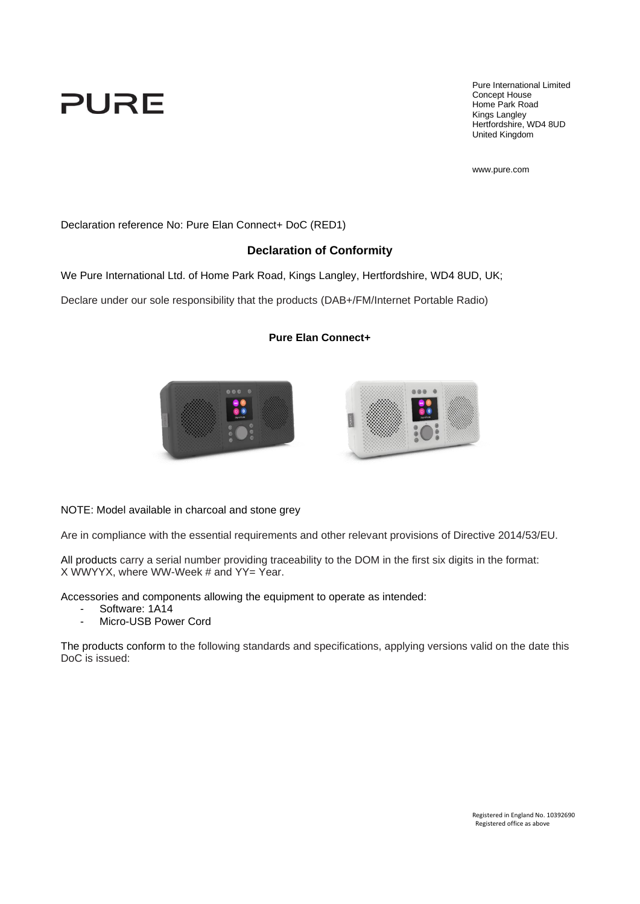# PURE

Pure International Limited Concept House Home Park Road Kings Langley Hertfordshire, WD4 8UD United Kingdom

www.pure.com

Declaration reference No: Pure Elan Connect+ DoC (RED1)

#### **Declaration of Conformity**

We Pure International Ltd. of Home Park Road, Kings Langley, Hertfordshire, WD4 8UD, UK;

Declare under our sole responsibility that the products (DAB+/FM/Internet Portable Radio)

#### **Pure Elan Connect+**



NOTE: Model available in charcoal and stone grey

Are in compliance with the essential requirements and other relevant provisions of Directive 2014/53/EU.

All products carry a serial number providing traceability to the DOM in the first six digits in the format: X WWYYX, where WW-Week # and YY= Year.

Accessories and components allowing the equipment to operate as intended:

- Software: 1A14
- Micro-USB Power Cord

The products conform to the following standards and specifications, applying versions valid on the date this DoC is issued: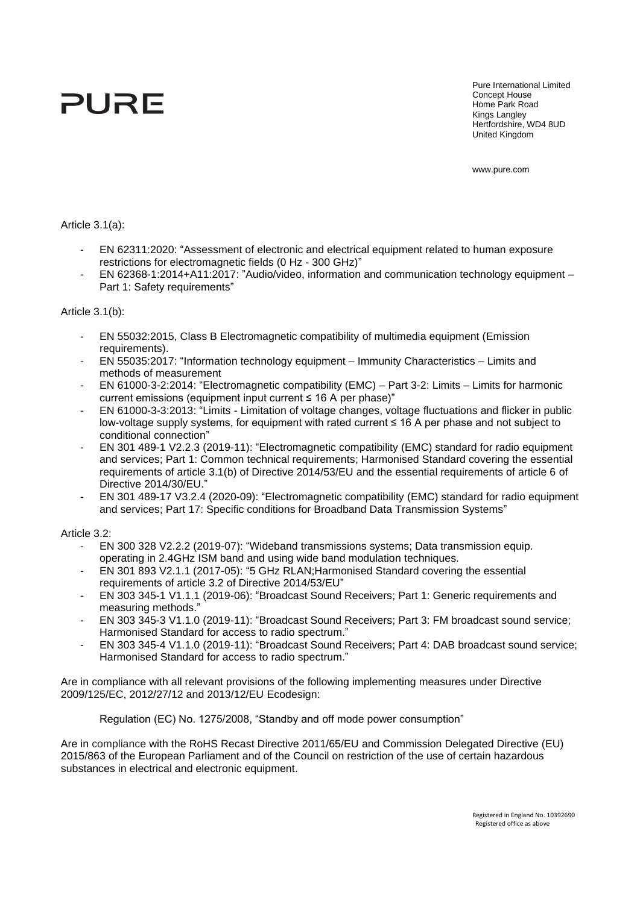# PURE

Pure International Limited Concept House Home Park Road Kings Langley Hertfordshire, WD4 8UD United Kingdom

www.pure.com

Article 3.1(a):

- EN 62311:2020: "Assessment of electronic and electrical equipment related to human exposure restrictions for electromagnetic fields (0 Hz - 300 GHz)"
- EN 62368-1:2014+A11:2017: "Audio/video, information and communication technology equipment Part 1: Safety requirements"

#### Article 3.1(b):

- EN 55032:2015, Class B Electromagnetic compatibility of multimedia equipment (Emission requirements).
- EN 55035:2017: "Information technology equipment Immunity Characteristics Limits and methods of measurement
- EN 61000-3-2:2014: "Electromagnetic compatibility (EMC) Part 3-2: Limits Limits for harmonic current emissions (equipment input current ≤ 16 A per phase)"
- EN 61000-3-3:2013: "Limits Limitation of voltage changes, voltage fluctuations and flicker in public low-voltage supply systems, for equipment with rated current ≤ 16 A per phase and not subject to conditional connection"
- EN 301 489-1 V2.2.3 (2019-11): "Electromagnetic compatibility (EMC) standard for radio equipment and services; Part 1: Common technical requirements; Harmonised Standard covering the essential requirements of article 3.1(b) of Directive 2014/53/EU and the essential requirements of article 6 of Directive 2014/30/EU."
- EN 301 489-17 V3.2.4 (2020-09): "Electromagnetic compatibility (EMC) standard for radio equipment and services; Part 17: Specific conditions for Broadband Data Transmission Systems"

Article 3.2:

- EN 300 328 V2.2.2 (2019-07): "Wideband transmissions systems; Data transmission equip. operating in 2.4GHz ISM band and using wide band modulation techniques.
- EN 301 893 V2.1.1 (2017-05): "5 GHz RLAN;Harmonised Standard covering the essential requirements of article 3.2 of Directive 2014/53/EU"
- EN 303 345-1 V1.1.1 (2019-06): "Broadcast Sound Receivers; Part 1: Generic requirements and measuring methods."
- EN 303 345-3 V1.1.0 (2019-11): "Broadcast Sound Receivers; Part 3: FM broadcast sound service; Harmonised Standard for access to radio spectrum."
- EN 303 345-4 V1.1.0 (2019-11): "Broadcast Sound Receivers; Part 4: DAB broadcast sound service; Harmonised Standard for access to radio spectrum."

Are in compliance with all relevant provisions of the following implementing measures under Directive 2009/125/EC, 2012/27/12 and 2013/12/EU Ecodesign:

Regulation (EC) No. 1275/2008, "Standby and off mode power consumption"

Are in compliance with the RoHS Recast Directive 2011/65/EU and Commission Delegated Directive (EU) 2015/863 of the European Parliament and of the Council on restriction of the use of certain hazardous substances in electrical and electronic equipment.